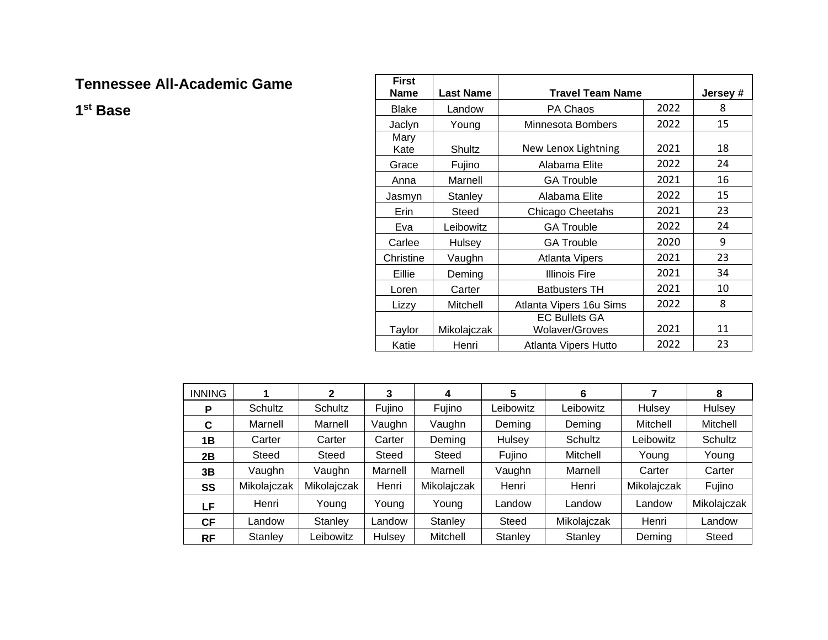## **Tennessee All-Academic Game**

**1st Base**

| <b>First</b> |                  |                         |          |    |
|--------------|------------------|-------------------------|----------|----|
| <b>Name</b>  | <b>Last Name</b> | <b>Travel Team Name</b> | Jersey # |    |
| <b>Blake</b> | Landow           | PA Chaos                | 2022     | 8  |
| Jaclyn       | Young            | Minnesota Bombers       | 2022     | 15 |
| Mary         |                  |                         |          |    |
| Kate         | Shultz           | New Lenox Lightning     | 2021     | 18 |
| Grace        | Fujino           | Alabama Elite           | 2022     | 24 |
| Anna         | Marnell          | <b>GA Trouble</b>       | 2021     | 16 |
| Jasmyn       | <b>Stanley</b>   | Alabama Elite           | 2022     | 15 |
| Erin         | Steed            | Chicago Cheetahs        | 2021     | 23 |
| Eva          | Leibowitz        | <b>GA Trouble</b>       | 2022     | 24 |
| Carlee       | Hulsey           | <b>GA Trouble</b>       | 2020     | 9  |
| Christine    | Vaughn           | <b>Atlanta Vipers</b>   | 2021     | 23 |
| Eillie       | Deming           | <b>Illinois Fire</b>    | 2021     | 34 |
| Loren        | Carter           | <b>Batbusters TH</b>    | 2021     | 10 |
| Lizzy        | Mitchell         | Atlanta Vipers 16u Sims | 2022     | 8  |
|              |                  | <b>EC Bullets GA</b>    |          |    |
| Taylor       | Mikolajczak      | <b>Wolaver/Groves</b>   | 2021     | 11 |
| Katie        | Henri            | 2022                    | 23       |    |

| <b>INNING</b> |             | 2           | 3       | 4           | 5         | 6           |             | 8           |
|---------------|-------------|-------------|---------|-------------|-----------|-------------|-------------|-------------|
| Р             | Schultz     | Schultz     | Fujino  | Fujino      | Leibowitz | Leibowitz   | Hulsey      | Hulsey      |
| C             | Marnell     | Marnell     | Vaughn  | Vaughn      | Deming    | Deming      | Mitchell    | Mitchell    |
| 1B            | Carter      | Carter      | Carter  | Deming      | Hulsey    | Schultz     | Leibowitz   | Schultz     |
| 2B            | Steed       | Steed       | Steed   | Steed       | Fujino    | Mitchell    | Young       | Young       |
| 3B            | Vaughn      | Vaughn      | Marnell | Marnell     | Vaughn    | Marnell     | Carter      | Carter      |
| SS            | Mikolajczak | Mikolajczak | Henri   | Mikolajczak | Henri     | Henri       | Mikolajczak | Fujino      |
| LF            | Henri       | Young       | Young   | Young       | Landow    | Landow      | Landow      | Mikolajczak |
| <b>CF</b>     | Landow      | Stanley     | Landow  | Stanley     | Steed     | Mikolajczak | Henri       | Landow      |
| <b>RF</b>     | Stanley     | Leibowitz   | Hulsey  | Mitchell    | Stanley   | Stanley     | Deming      | Steed       |